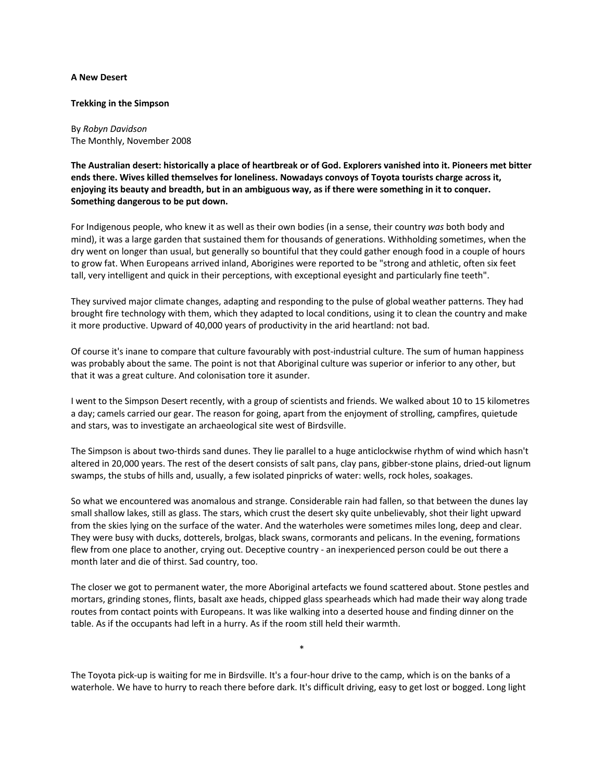## **A New Desert**

## **Trekking in the Simpson**

By *Robyn Davidson* The Monthly, November 2008

**The Australian desert: historically a place of heartbreak or of God. Explorers vanished into it. Pioneers met bitter ends there. Wives killed themselves for loneliness. Nowadays convoys of Toyota tourists charge across it, enjoying its beauty and breadth, but in an ambiguous way, as if there were something in it to conquer. Something dangerous to be put down.**

For Indigenous people, who knew it as well as their own bodies (in a sense, their country *was* both body and mind), it was a large garden that sustained them for thousands of generations. Withholding sometimes, when the dry went on longer than usual, but generally so bountiful that they could gather enough food in a couple of hours to grow fat. When Europeans arrived inland, Aborigines were reported to be "strong and athletic, often six feet tall, very intelligent and quick in their perceptions, with exceptional eyesight and particularly fine teeth".

They survived major climate changes, adapting and responding to the pulse of global weather patterns. They had brought fire technology with them, which they adapted to local conditions, using it to clean the country and make it more productive. Upward of 40,000 years of productivity in the arid heartland: not bad.

Of course it's inane to compare that culture favourably with post-industrial culture. The sum of human happiness was probably about the same. The point is not that Aboriginal culture was superior or inferior to any other, but that it was a great culture. And colonisation tore it asunder.

I went to the Simpson Desert recently, with a group of scientists and friends. We walked about 10 to 15 kilometres a day; camels carried our gear. The reason for going, apart from the enjoyment of strolling, campfires, quietude and stars, was to investigate an archaeological site west of Birdsville.

The Simpson is about two-thirds sand dunes. They lie parallel to a huge anticlockwise rhythm of wind which hasn't altered in 20,000 years. The rest of the desert consists of salt pans, clay pans, gibber-stone plains, dried-out lignum swamps, the stubs of hills and, usually, a few isolated pinpricks of water: wells, rock holes, soakages.

So what we encountered was anomalous and strange. Considerable rain had fallen, so that between the dunes lay small shallow lakes, still as glass. The stars, which crust the desert sky quite unbelievably, shot their light upward from the skies lying on the surface of the water. And the waterholes were sometimes miles long, deep and clear. They were busy with ducks, dotterels, brolgas, black swans, cormorants and pelicans. In the evening, formations flew from one place to another, crying out. Deceptive country - an inexperienced person could be out there a month later and die of thirst. Sad country, too.

The closer we got to permanent water, the more Aboriginal artefacts we found scattered about. Stone pestles and mortars, grinding stones, flints, basalt axe heads, chipped glass spearheads which had made their way along trade routes from contact points with Europeans. It was like walking into a deserted house and finding dinner on the table. As if the occupants had left in a hurry. As if the room still held their warmth.

The Toyota pick-up is waiting for me in Birdsville. It's a four-hour drive to the camp, which is on the banks of a waterhole. We have to hurry to reach there before dark. It's difficult driving, easy to get lost or bogged. Long light

\*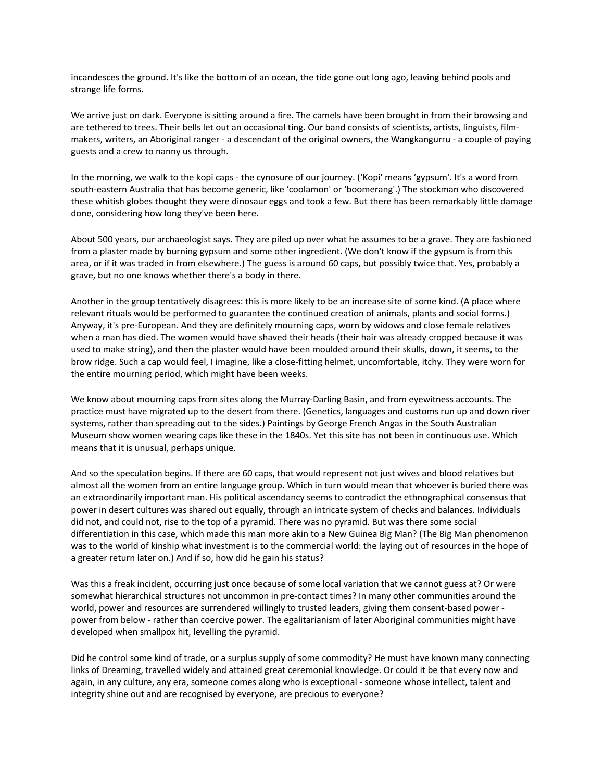incandesces the ground. It's like the bottom of an ocean, the tide gone out long ago, leaving behind pools and strange life forms.

We arrive just on dark. Everyone is sitting around a fire. The camels have been brought in from their browsing and are tethered to trees. Their bells let out an occasional ting. Our band consists of scientists, artists, linguists, filmmakers, writers, an Aboriginal ranger - a descendant of the original owners, the Wangkangurru - a couple of paying guests and a crew to nanny us through.

In the morning, we walk to the kopi caps - the cynosure of our journey. ('Kopi' means 'gypsum'. It's a word from south-eastern Australia that has become generic, like 'coolamon' or 'boomerang'.) The stockman who discovered these whitish globes thought they were dinosaur eggs and took a few. But there has been remarkably little damage done, considering how long they've been here.

About 500 years, our archaeologist says. They are piled up over what he assumes to be a grave. They are fashioned from a plaster made by burning gypsum and some other ingredient. (We don't know if the gypsum is from this area, or if it was traded in from elsewhere.) The guess is around 60 caps, but possibly twice that. Yes, probably a grave, but no one knows whether there's a body in there.

Another in the group tentatively disagrees: this is more likely to be an increase site of some kind. (A place where relevant rituals would be performed to guarantee the continued creation of animals, plants and social forms.) Anyway, it's pre-European. And they are definitely mourning caps, worn by widows and close female relatives when a man has died. The women would have shaved their heads (their hair was already cropped because it was used to make string), and then the plaster would have been moulded around their skulls, down, it seems, to the brow ridge. Such a cap would feel, I imagine, like a close-fitting helmet, uncomfortable, itchy. They were worn for the entire mourning period, which might have been weeks.

We know about mourning caps from sites along the Murray-Darling Basin, and from eyewitness accounts. The practice must have migrated up to the desert from there. (Genetics, languages and customs run up and down river systems, rather than spreading out to the sides.) Paintings by George French Angas in the South Australian Museum show women wearing caps like these in the 1840s. Yet this site has not been in continuous use. Which means that it is unusual, perhaps unique.

And so the speculation begins. If there are 60 caps, that would represent not just wives and blood relatives but almost all the women from an entire language group. Which in turn would mean that whoever is buried there was an extraordinarily important man. His political ascendancy seems to contradict the ethnographical consensus that power in desert cultures was shared out equally, through an intricate system of checks and balances. Individuals did not, and could not, rise to the top of a pyramid. There was no pyramid. But was there some social differentiation in this case, which made this man more akin to a New Guinea Big Man? (The Big Man phenomenon was to the world of kinship what investment is to the commercial world: the laying out of resources in the hope of a greater return later on.) And if so, how did he gain his status?

Was this a freak incident, occurring just once because of some local variation that we cannot guess at? Or were somewhat hierarchical structures not uncommon in pre-contact times? In many other communities around the world, power and resources are surrendered willingly to trusted leaders, giving them consent-based power power from below - rather than coercive power. The egalitarianism of later Aboriginal communities might have developed when smallpox hit, levelling the pyramid.

Did he control some kind of trade, or a surplus supply of some commodity? He must have known many connecting links of Dreaming, travelled widely and attained great ceremonial knowledge. Or could it be that every now and again, in any culture, any era, someone comes along who is exceptional - someone whose intellect, talent and integrity shine out and are recognised by everyone, are precious to everyone?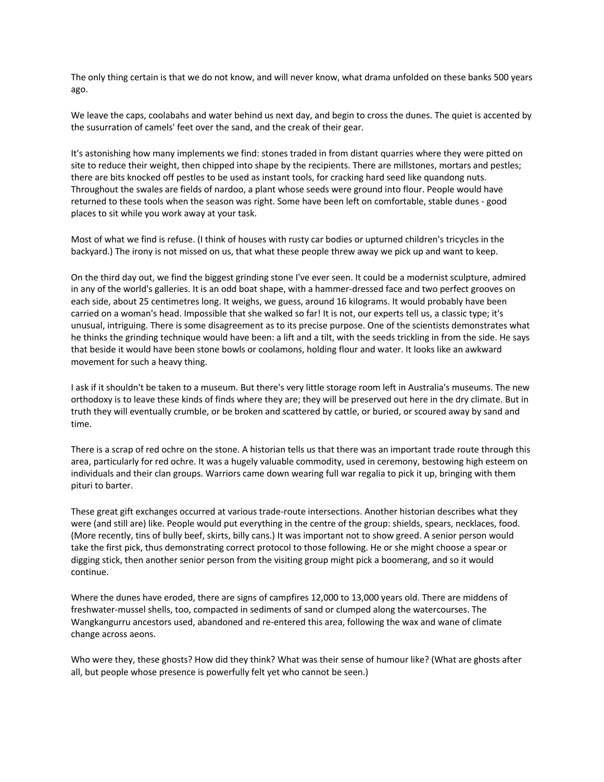The only thing certain is that we do not know, and will never know, what drama unfolded on these banks 500 years ago.

We leave the caps, coolabahs and water behind us next day, and begin to cross the dunes. The quiet is accented by the susurration of camels' feet over the sand, and the creak of their gear.

It's astonishing how many implements we find: stones traded in from distant quarries where they were pitted on site to reduce their weight, then chipped into shape by the recipients. There are millstones, mortars and pestles; there are bits knocked off pestles to be used as instant tools, for cracking hard seed like quandong nuts. Throughout the swales are fields of nardoo, a plant whose seeds were ground into flour. People would have returned to these tools when the season was right. Some have been left on comfortable, stable dunes - good places to sit while you work away at your task.

Most of what we find is refuse. (I think of houses with rusty car bodies or upturned children's tricycles in the backyard.) The irony is not missed on us, that what these people threw away we pick up and want to keep.

On the third day out, we find the biggest grinding stone I've ever seen. It could be a modernist sculpture, admired in any of the world's galleries. It is an odd boat shape, with a hammer-dressed face and two perfect grooves on each side, about 25 centimetres long. It weighs, we guess, around 16 kilograms. It would probably have been carried on a woman's head. Impossible that she walked so far! It is not, our experts tell us, a classic type; it's unusual, intriguing. There is some disagreement as to its precise purpose. One of the scientists demonstrates what he thinks the grinding technique would have been: a lift and a tilt, with the seeds trickling in from the side. He says that beside it would have been stone bowls or coolamons, holding flour and water. It looks like an awkward movement for such a heavy thing.

I ask if it shouldn't be taken to a museum. But there's very little storage room left in Australia's museums. The new orthodoxy is to leave these kinds of finds where they are; they will be preserved out here in the dry climate. But in truth they will eventually crumble, or be broken and scattered by cattle, or buried, or scoured away by sand and time.

There is a scrap of red ochre on the stone. A historian tells us that there was an important trade route through this area, particularly for red ochre. It was a hugely valuable commodity, used in ceremony, bestowing high esteem on individuals and their clan groups. Warriors came down wearing full war regalia to pick it up, bringing with them pituri to barter.

These great gift exchanges occurred at various trade-route intersections. Another historian describes what they were (and still are) like. People would put everything in the centre of the group: shields, spears, necklaces, food. (More recently, tins of bully beef, skirts, billy cans.) It was important not to show greed. A senior person would take the first pick, thus demonstrating correct protocol to those following. He or she might choose a spear or digging stick, then another senior person from the visiting group might pick a boomerang, and so it would continue.

Where the dunes have eroded, there are signs of campfires 12,000 to 13,000 years old. There are middens of freshwater-mussel shells, too, compacted in sediments of sand or clumped along the watercourses. The Wangkangurru ancestors used, abandoned and re-entered this area, following the wax and wane of climate change across aeons.

Who were they, these ghosts? How did they think? What was their sense of humour like? (What are ghosts after all, but people whose presence is powerfully felt yet who cannot be seen.)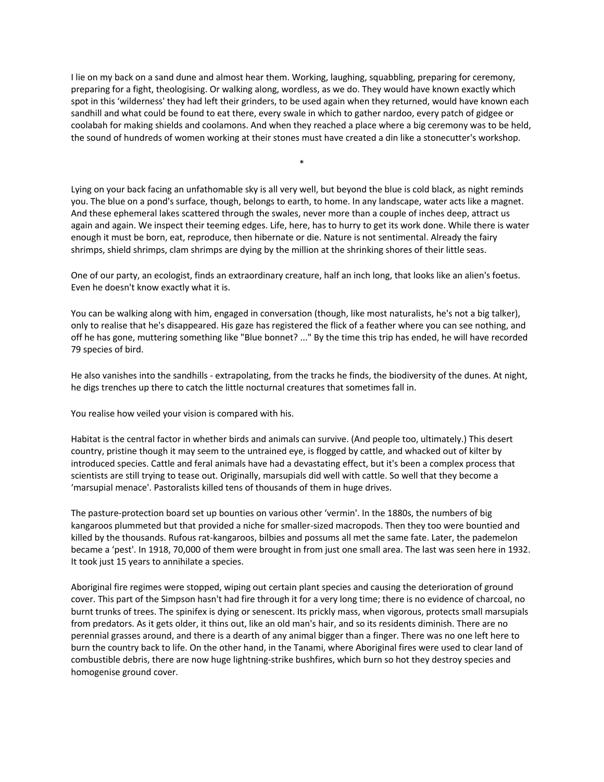I lie on my back on a sand dune and almost hear them. Working, laughing, squabbling, preparing for ceremony, preparing for a fight, theologising. Or walking along, wordless, as we do. They would have known exactly which spot in this 'wilderness' they had left their grinders, to be used again when they returned, would have known each sandhill and what could be found to eat there, every swale in which to gather nardoo, every patch of gidgee or coolabah for making shields and coolamons. And when they reached a place where a big ceremony was to be held, the sound of hundreds of women working at their stones must have created a din like a stonecutter's workshop.

\*

Lying on your back facing an unfathomable sky is all very well, but beyond the blue is cold black, as night reminds you. The blue on a pond's surface, though, belongs to earth, to home. In any landscape, water acts like a magnet. And these ephemeral lakes scattered through the swales, never more than a couple of inches deep, attract us again and again. We inspect their teeming edges. Life, here, has to hurry to get its work done. While there is water enough it must be born, eat, reproduce, then hibernate or die. Nature is not sentimental. Already the fairy shrimps, shield shrimps, clam shrimps are dying by the million at the shrinking shores of their little seas.

One of our party, an ecologist, finds an extraordinary creature, half an inch long, that looks like an alien's foetus. Even he doesn't know exactly what it is.

You can be walking along with him, engaged in conversation (though, like most naturalists, he's not a big talker), only to realise that he's disappeared. His gaze has registered the flick of a feather where you can see nothing, and off he has gone, muttering something like "Blue bonnet? ..." By the time this trip has ended, he will have recorded 79 species of bird.

He also vanishes into the sandhills - extrapolating, from the tracks he finds, the biodiversity of the dunes. At night, he digs trenches up there to catch the little nocturnal creatures that sometimes fall in.

You realise how veiled your vision is compared with his.

Habitat is the central factor in whether birds and animals can survive. (And people too, ultimately.) This desert country, pristine though it may seem to the untrained eye, is flogged by cattle, and whacked out of kilter by introduced species. Cattle and feral animals have had a devastating effect, but it's been a complex process that scientists are still trying to tease out. Originally, marsupials did well with cattle. So well that they become a 'marsupial menace'. Pastoralists killed tens of thousands of them in huge drives.

The pasture-protection board set up bounties on various other 'vermin'. In the 1880s, the numbers of big kangaroos plummeted but that provided a niche for smaller-sized macropods. Then they too were bountied and killed by the thousands. Rufous rat-kangaroos, bilbies and possums all met the same fate. Later, the pademelon became a 'pest'. In 1918, 70,000 of them were brought in from just one small area. The last was seen here in 1932. It took just 15 years to annihilate a species.

Aboriginal fire regimes were stopped, wiping out certain plant species and causing the deterioration of ground cover. This part of the Simpson hasn't had fire through it for a very long time; there is no evidence of charcoal, no burnt trunks of trees. The spinifex is dying or senescent. Its prickly mass, when vigorous, protects small marsupials from predators. As it gets older, it thins out, like an old man's hair, and so its residents diminish. There are no perennial grasses around, and there is a dearth of any animal bigger than a finger. There was no one left here to burn the country back to life. On the other hand, in the Tanami, where Aboriginal fires were used to clear land of combustible debris, there are now huge lightning-strike bushfires, which burn so hot they destroy species and homogenise ground cover.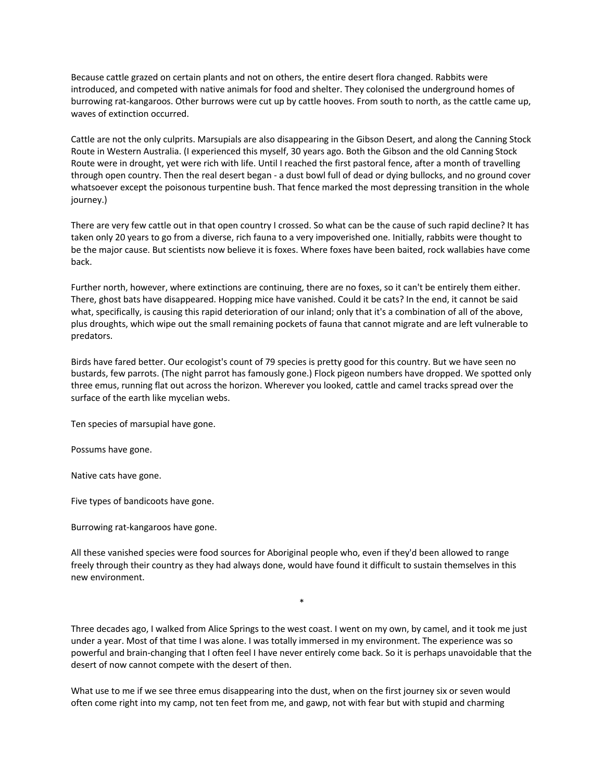Because cattle grazed on certain plants and not on others, the entire desert flora changed. Rabbits were introduced, and competed with native animals for food and shelter. They colonised the underground homes of burrowing rat-kangaroos. Other burrows were cut up by cattle hooves. From south to north, as the cattle came up, waves of extinction occurred.

Cattle are not the only culprits. Marsupials are also disappearing in the Gibson Desert, and along the Canning Stock Route in Western Australia. (I experienced this myself, 30 years ago. Both the Gibson and the old Canning Stock Route were in drought, yet were rich with life. Until I reached the first pastoral fence, after a month of travelling through open country. Then the real desert began - a dust bowl full of dead or dying bullocks, and no ground cover whatsoever except the poisonous turpentine bush. That fence marked the most depressing transition in the whole journey.)

There are very few cattle out in that open country I crossed. So what can be the cause of such rapid decline? It has taken only 20 years to go from a diverse, rich fauna to a very impoverished one. Initially, rabbits were thought to be the major cause. But scientists now believe it is foxes. Where foxes have been baited, rock wallabies have come back.

Further north, however, where extinctions are continuing, there are no foxes, so it can't be entirely them either. There, ghost bats have disappeared. Hopping mice have vanished. Could it be cats? In the end, it cannot be said what, specifically, is causing this rapid deterioration of our inland; only that it's a combination of all of the above, plus droughts, which wipe out the small remaining pockets of fauna that cannot migrate and are left vulnerable to predators.

Birds have fared better. Our ecologist's count of 79 species is pretty good for this country. But we have seen no bustards, few parrots. (The night parrot has famously gone.) Flock pigeon numbers have dropped. We spotted only three emus, running flat out across the horizon. Wherever you looked, cattle and camel tracks spread over the surface of the earth like mycelian webs.

Ten species of marsupial have gone.

Possums have gone.

Native cats have gone.

Five types of bandicoots have gone.

Burrowing rat-kangaroos have gone.

All these vanished species were food sources for Aboriginal people who, even if they'd been allowed to range freely through their country as they had always done, would have found it difficult to sustain themselves in this new environment.

Three decades ago, I walked from Alice Springs to the west coast. I went on my own, by camel, and it took me just under a year. Most of that time I was alone. I was totally immersed in my environment. The experience was so powerful and brain-changing that I often feel I have never entirely come back. So it is perhaps unavoidable that the desert of now cannot compete with the desert of then.

\*

What use to me if we see three emus disappearing into the dust, when on the first journey six or seven would often come right into my camp, not ten feet from me, and gawp, not with fear but with stupid and charming